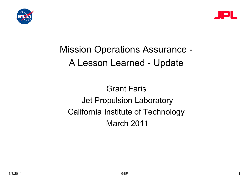



## Mission Operations Assurance - A Lesson Learned - Update

Grant Faris Jet Propulsion Laboratory California Institute of Technology March 2011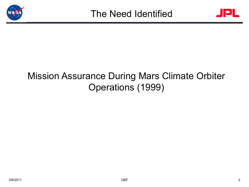



## Mission Assurance During Mars Climate Orbiter Operations (1999)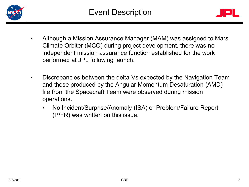



- Although a Mission Assurance Manager (MAM) was assigned to Mars Climate Orbiter (MCO) during project development, there was no independent mission assurance function established for the work performed at JPL following launch.
- Discrepancies between the delta-Vs expected by the Navigation Team and those produced by the Angular Momentum Desaturation (AMD) file from the Spacecraft Team were observed during mission operations.
	- No Incident/Surprise/Anomaly (ISA) or Problem/Failure Report (P/FR) was written on this issue.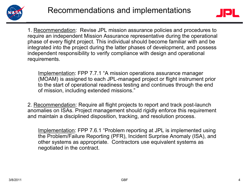



1. Recommendation: Revise JPL mission assurance policies and procedures to require an independent Mission Assurance representative during the operational phase of every flight project. This individual should become familiar with and be integrated into the project during the latter phases of development, and possess independent responsibility to verify compliance with design and operational requirements.

Implementation: FPP 7.7.1 "A mission operations assurance manager (MOAM) is assigned to each JPL-managed project or flight instrument prior to the start of operational readiness testing and continues through the end of mission, including extended missions."

2. Recommendation: Require all flight projects to report and track post-launch anomalies on ISAs. Project management should rigidly enforce this requirement and maintain a disciplined disposition, tracking, and resolution process.

Implementation: FPP 7.6.1 "Problem reporting at JPL is implemented using the Problem/Failure Reporting (PFR), Incident Surprise Anomaly (ISA), and other systems as appropriate. Contractors use equivalent systems as negotiated in the contract.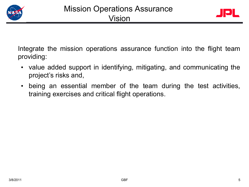



Integrate the mission operations assurance function into the flight team providing:

- value added support in identifying, mitigating, and communicating the project's risks and,
- being an essential member of the team during the test activities, training exercises and critical flight operations.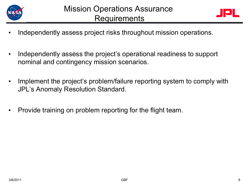



- Independently assess project risks throughout mission operations.
- Independently assess the project's operational readiness to support nominal and contingency mission scenarios.
- Implement the project's problem/failure reporting system to comply with JPL's Anomaly Resolution Standard.
- Provide training on problem reporting for the flight team.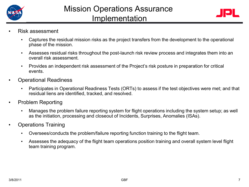



- Risk assessment
	- Captures the residual mission risks as the project transfers from the development to the operational phase of the mission.
	- Assesses residual risks throughout the post-launch risk review process and integrates them into an overall risk assessment.
	- Provides an independent risk assessment of the Project's risk posture in preparation for critical events.
- Operational Readiness
	- Participates in Operational Readiness Tests (ORTs) to assess if the test objectives were met; and that residual liens are identified, tracked, and resolved.
- Problem Reporting
	- Manages the problem failure reporting system for flight operations including the system setup; as well as the initiation, processing and closeout of Incidents, Surprises, Anomalies (ISAs).
- Operations Training
	- Oversees/conducts the problem/failure reporting function training to the flight team.
	- Assesses the adequacy of the flight team operations position training and overall system level flight team training program.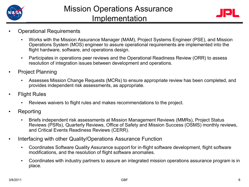



- Operational Requirements
	- Works with the Mission Assurance Manager (MAM), Project Systems Engineer (PSE), and Mission Operations System (MOS) engineer to assure operational requirements are implemented into the flight hardware, software, and operations design.
	- Participates in operations peer reviews and the Operational Readiness Review (ORR) to assess resolution of integration issues between development and operations.
- Project Planning
	- Assesses Mission Change Requests (MCRs) to ensure appropriate review has been completed, and provides independent risk assessments, as appropriate.
- **Flight Rules** 
	- Reviews waivers to flight rules and makes recommendations to the project.
- Reporting
	- Briefs independent risk assessments at Mission Management Reviews (MMRs), Project Status Reviews (PSRs), Quarterly Reviews, Office of Safety and Mission Success (OSMS) monthly reviews, and Critical Events Readiness Reviews (CERR).
- Interfacing with other Quality/Operations Assurance Function
	- Coordinates Software Quality Assurance support for in-flight software development, flight software modifications, and the resolution of flight software anomalies.
	- Coordinates with industry partners to assure an integrated mission operations assurance program is in place.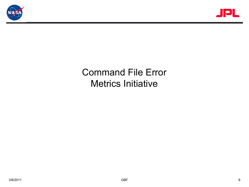



## Command File Error Metrics Initiative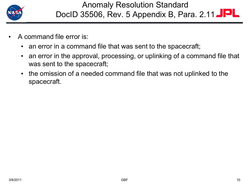

- A command file error is:
	- an error in a command file that was sent to the spacecraft;
	- an error in the approval, processing, or uplinking of a command file that was sent to the spacecraft;
	- the omission of a needed command file that was not uplinked to the spacecraft.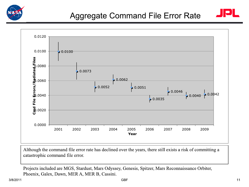





Although the command file error rate has declined over the years, there still exists a risk of committing a catastrophic command file error.

Projects included are MGS, Stardust, Mars Odyssey, Genesis, Spitzer, Mars Reconnaissance Orbiter, Phoenix, Galex, Dawn, MER A, MER B, Cassini.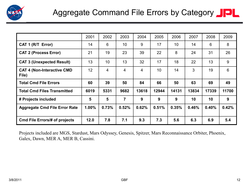

|                                            | 2001  | 2002            | 2003           | 2004  | 2005  | 2006            | 2007  | 2008  | 2009  |
|--------------------------------------------|-------|-----------------|----------------|-------|-------|-----------------|-------|-------|-------|
| CAT 1 (R/T Error)                          | 14    | 6               | 10             | 9     | 17    | 10 <sup>°</sup> | 14    | 6     | 8     |
| <b>CAT 2 (Process Error)</b>               | 21    | 19              | 23             | 39    | 22    | 8               | 24    | 31    | 26    |
| <b>CAT 3 (Unexpected Result)</b>           | 13    | 10 <sup>°</sup> | 13             | 32    | 17    | 18              | 22    | 13    | 9     |
| <b>CAT 4 (Non-Interactive CMD</b><br>File) | 12    | $\overline{4}$  | 4              | 4     | 10    | 14              | 3     | 19    | 6     |
| <b>Total Cmd File Errors</b>               | 60    | 39              | 50             | 84    | 66    | 50              | 63    | 69    | 49    |
| <b>Total Cmd Files Transmitted</b>         | 6019  | 5331            | 9682           | 13618 | 12944 | 14131           | 13834 | 17339 | 11700 |
| # Projects included                        | 5     | 5               | $\overline{7}$ | 9     | 9     | 9               | 10    | 10    | 9     |
| <b>Aggregate Cmd File Error Rate</b>       | 1.00% | 0.73%           | 0.52%          | 0.62% | 0.51% | 0.35%           | 0.46% | 0.40% | 0.42% |
| <b>Cmd File Errors/# of projects</b>       | 12.0  | 7.8             | 7.1            | 9.3   | 7.3   | 5.6             | 6.3   | 6.9   | 5.4   |

Projects included are MGS, Stardust, Mars Odyssey, Genesis, Spitzer, Mars Reconnaissance Orbiter, Phoenix, Galex, Dawn, MER A, MER B, Cassini.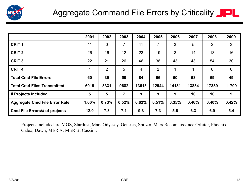

|                                      | 2001  | 2002           | 2003           | 2004           | 2005           | 2006  | 2007  | 2008           | 2009        |
|--------------------------------------|-------|----------------|----------------|----------------|----------------|-------|-------|----------------|-------------|
| <b>CRIT1</b>                         | 11    | $\overline{0}$ | $\overline{7}$ | 11             | $\overline{7}$ | 3     | 5     | $\overline{2}$ | 3           |
| <b>CRIT 2</b>                        | 26    | 16             | 12             | 23             | 19             | 3     | 14    | 13             | 16          |
| <b>CRIT 3</b>                        | 22    | 21             | 26             | 46             | 38             | 43    | 43    | 54             | 30          |
| <b>CRIT 4</b>                        |       | 2              | 5              | $\overline{4}$ | $\overline{2}$ | 1     | 1     | $\overline{0}$ | $\mathbf 0$ |
| <b>Total Cmd File Errors</b>         | 60    | 39             | 50             | 84             | 66             | 50    | 63    | 69             | 49          |
| <b>Total Cmd Files Transmitted</b>   | 6019  | 5331           | 9682           | 13618          | 12944          | 14131 | 13834 | 17339          | 11700       |
| # Projects included                  | 5     | 5              | $\overline{7}$ | 9              | 9              | 9     | 10    | 10             | 9           |
| <b>Aggregate Cmd File Error Rate</b> | 1.00% | 0.73%          | 0.52%          | 0.62%          | 0.51%          | 0.35% | 0.46% | 0.40%          | 0.42%       |
| <b>Cmd File Errors/# of projects</b> | 12.0  | 7.8            | 7.1            | 9.3            | 7.3            | 5.6   | 6.3   | 6.9            | 5.4         |

Projects included are MGS, Stardust, Mars Odyssey, Genesis, Spitzer, Mars Reconnaissance Orbiter, Phoenix, Galex, Dawn, MER A, MER B, Cassini.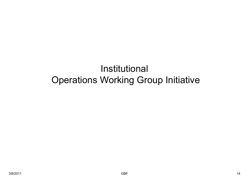## Institutional Operations Working Group Initiative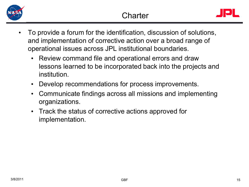



- To provide a forum for the identification, discussion of solutions, and implementation of corrective action over a broad range of operational issues across JPL institutional boundaries.
	- Review command file and operational errors and draw lessons learned to be incorporated back into the projects and institution.
	- Develop recommendations for process improvements.
	- Communicate findings across all missions and implementing organizations.
	- Track the status of corrective actions approved for implementation.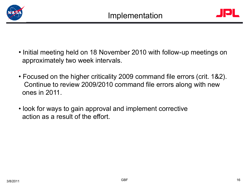



- Initial meeting held on 18 November 2010 with follow-up meetings on approximately two week intervals.
- Focused on the higher criticality 2009 command file errors (crit. 1&2). Continue to review 2009/2010 command file errors along with new ones in 2011.
- look for ways to gain approval and implement corrective action as a result of the effort.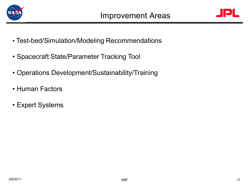



- Test-bed/Simulation/Modeling Recommendations
- Spacecraft State/Parameter Tracking Tool
- Operations Development/Sustainability/Training
- Human Factors
- Expert Systems